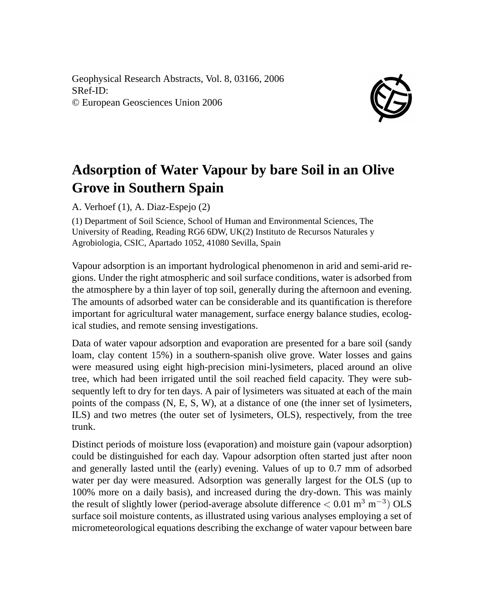Geophysical Research Abstracts, Vol. 8, 03166, 2006 SRef-ID: © European Geosciences Union 2006



## **Adsorption of Water Vapour by bare Soil in an Olive Grove in Southern Spain**

A. Verhoef (1), A. Diaz-Espejo (2)

(1) Department of Soil Science, School of Human and Environmental Sciences, The University of Reading, Reading RG6 6DW, UK(2) Instituto de Recursos Naturales y Agrobiologia, CSIC, Apartado 1052, 41080 Sevilla, Spain

Vapour adsorption is an important hydrological phenomenon in arid and semi-arid regions. Under the right atmospheric and soil surface conditions, water is adsorbed from the atmosphere by a thin layer of top soil, generally during the afternoon and evening. The amounts of adsorbed water can be considerable and its quantification is therefore important for agricultural water management, surface energy balance studies, ecological studies, and remote sensing investigations.

Data of water vapour adsorption and evaporation are presented for a bare soil (sandy loam, clay content 15%) in a southern-spanish olive grove. Water losses and gains were measured using eight high-precision mini-lysimeters, placed around an olive tree, which had been irrigated until the soil reached field capacity. They were subsequently left to dry for ten days. A pair of lysimeters was situated at each of the main points of the compass (N, E, S, W), at a distance of one (the inner set of lysimeters, ILS) and two metres (the outer set of lysimeters, OLS), respectively, from the tree trunk.

Distinct periods of moisture loss (evaporation) and moisture gain (vapour adsorption) could be distinguished for each day. Vapour adsorption often started just after noon and generally lasted until the (early) evening. Values of up to 0.7 mm of adsorbed water per day were measured. Adsorption was generally largest for the OLS (up to 100% more on a daily basis), and increased during the dry-down. This was mainly the result of slightly lower (period-average absolute difference  $< 0.01 \text{ m}^3 \text{ m}^{-3}$ ) OLS surface soil moisture contents, as illustrated using various analyses employing a set of micrometeorological equations describing the exchange of water vapour between bare